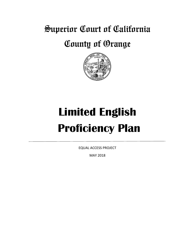# Superior Court of California

# County of Orange



# **Limited English Proficiency Plan**

EQUAL ACCESS PROJECT

MAY 2018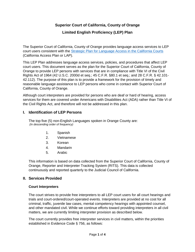## **Superior Court of California, County of Orange**

## **Limited English Proficiency (LEP) Plan**

The Superior Court of California, County of Orange provides language access services to LEP court users consistent with the [Strategic Plan for Language Access in the California Courts](http://www.courts.ca.gov/documents/CLASP_report_060514.pdf) (California Access Plan or LAP).

This LEP Plan addresses language access services, policies, and procedures that affect LEP court users. This document serves as the plan for the Superior Court of California, County of Orange to provide LEP persons with services that are in compliance with Title VI of the Civil Rights Act of 1964 (42 U.S.C. 2000d et seq.; 45 C.F.R. §80.1 et seq.; and 28 C.F.R. § 42.101- 42.112). The purpose of this plan is to provide a framework for the provision of timely and reasonable language assistance to LEP persons who come in contact with Superior Court of California, County of Orange.

Although court interpreters are provided for persons who are deaf or hard of hearing, access services for them are covered under Americans with Disabilities Act (ADA) rather than Title VI of the Civil Rights Act, and therefore will not be addressed in this plan.

#### **I. Identification of LEP Persons**

The top five (5) non-English Languages spoken in Orange County are: *(In descending order of frequency)*

- 1. Spanish
- 2. Vietnamese
- 3. Korean
- 4. Mandarin
- 5. Arabic

This information is based on data collected from the Superior Court of California, County of Orange, Reporter and Interpreter Tracking System (RITS). This data is collected continuously and reported quarterly to the Judicial Council of California.

#### **II. Services Provided**

#### **Court Interpreters**

The court strives to provide free interpreters to all LEP court users for all court hearings and trials and court-ordered/court-operated events. Interpreters are provided at no cost for all criminal, traffic, juvenile law cases, mental competency hearings with appointed counsel, and other mandated civil. While we continue efforts toward providing interpreters in all civil matters, we are currently limiting interpreter provision as described below.

The court currently provides free interpreter services in civil matters, within the priorities established in Evidence Code § 756, as follows: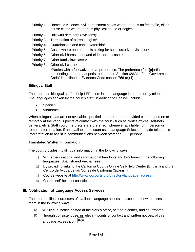- Priority 1: Domestic violence, civil harassment cases where there is no fee to file, elder abuse cases where there is physical abuse or neglect
- Priority 2: Unlawful detainers (evictions)\*
- Priority 3: Termination of parental rights\*
- Priority 4: Guardianship and conservatorship\*
- Priority 5: Cases where one person is asking for sole custody or visitation\*
- Priority 6: Other civil harassment and elder abuse cases\*
- Priority 7: Other family law cases\*
- Priority 8: Other civil cases\*

\*Parties with a fee waiver have preference. The preference for "[p]arties proceeding in forma pauperis, pursuant to Section 68631 of the Government Code" is outlined in Evidence Code section 756 (c)(1).

#### **Bilingual Staff**

The court has bilingual staff to help LEP users in their language in person or by telephone. The languages spoken by the court's staff, in addition to English, include:

- **Spanish**
- Vietnamese

When bilingual staff are not available, qualified interpreters are provided either in person or remotely at the various points of contact with the court (such as clerk's offices, self-help centers, etc.). Staff court interpreters are preferred, whenever available, for in person or remote interpretation. If not available, the court uses Language Select to provide telephonic interpretation to assist in communications between staff and LEP persons.

#### **Translated Written Information**

The court provides multilingual information in the following ways:

- $\boxtimes$  Written educational and informational handouts and brochures in the following languages: Spanish and Vietnamese
- ☒ By providing links to the California Court's Online Self-Help Center (English) and the Centro de Ayuda de las Cortes de California (Spanish).
- ☒ Court's website at [http://www.occourts.org/directory/language\\_access.](http://www.occourts.org/directory/language_access/)
- $\boxtimes$  Court's self-help center offices.

#### **III. Notification of Language Access Services**

The court notifies court users of available language access services and how to access them in the following ways:

- $\boxtimes$  Multilingual notice posted at the clerk's office, self-help center, and courtrooms.
- $\boxtimes$  Through consistent use, in relevant points of contact and written notices, of this language access icon:  $\left[\frac{\blacktriangle^{ij} \frac{3}{X}}{X}\right]$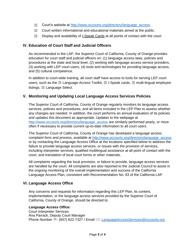- ☒ Court's website at [http://www.occourts.org/directory/language\\_access.](http://www.occourts.org/directory/language_access)
- $\boxtimes$  Court written informational and educational materials aimed at the public.
- $\boxtimes$  Display and availability of  $I$ -Speak Cards at all points of contact with the court.

# **IV. Education of Court Staff and Judicial Officers**

As recommended in the LAP, the Superior Court of California, County of Orange provides education for court staff and judicial officers on: (1) language access laws, policies and procedures at the state and local level, (2) working with language access service providers, (3) working with LEP court users, (4) tools and technologies for providing language access, and (5) cultural competence.

In addition to court-wide training, all court staff have access to tools for serving LEP court users, such as the  $\boxtimes$  Language Access Toolkit,  $\boxtimes$  I-Speak cards,  $\boxtimes$  multi-lingual employee listings,  $\boxtimes$  Language Select.

# **V. Monitoring and Updating Local Language Access Services Policies**

The Superior Court of California, County of Orange regularly monitors its language access services, policies and procedures, and all items included in the LEP Plan to assess whether any changes are needed. In addition, the court performs an annual evaluation of its policies and updates this document as appropriate. Updates to the webpage at [http://www.occourts.org/directory/language\\_access](http://www.occourts.org/directory/language_access/) are similarly performed yearly, or more often if necessary to provide current up-to-date information to all court users.

The Superior Court of California, County of Orange has developed a language access complaint form and process, available at [http://www.occourts.org/directory/language\\_access](http://www.occourts.org/directory/language_access/) or by contacting the Language Access Office at the locations specified below to address the failure to provide language access services, or issues with the provision of services, including interpreter services, qualified multilingual assistance at all point of contact with the court, and translation of local court forms or other materials.

All complaints regarding the local provision, or failure to provide, language access services are handled by the court. All complaints are also reported to the Judicial Council to assist in the ongoing monitoring of the overall implementation and success of the California Language Access Plan, consistent with Recommendation No. 63 of the California LAP.

# **VI. Language Access Office**

Any concerns and requests for information regarding this LEP Plan, its content, implementation, or the language access services provided by the Superior Court of California, County of Orange, should be directed to:

#### *Language Access Office:*

Court Interpreter Services Ana Parrack, Deputy Court Manager Phone Number  $\mathbb{B}$ : (657) 622-7327 / Email  $\boxtimes$ : [LanguageAccessServices@occourts.org](mailto:LanguageAccessServices@occourts.org)